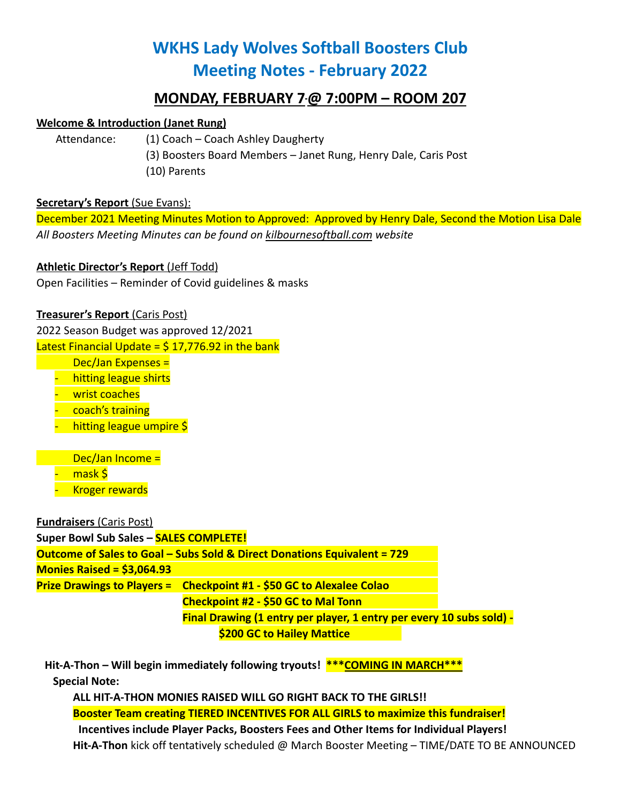# **WKHS Lady Wolves Softball Boosters Club Meeting Notes - February 2022**

## **MONDAY, FEBRUARY 7@ 7:00PM – ROOM 207**

#### **Welcome & Introduction (Janet Rung)**

Attendance: (1) Coach – Coach Ashley Daugherty

(3) Boosters Board Members – Janet Rung, Henry Dale, Caris Post (10) Parents

#### **Secretary's Report** (Sue Evans):

December 2021 Meeting Minutes Motion to Approved: Approved by Henry Dale, Second the Motion Lisa Dale *All Boosters Meeting Minutes can be found on kilbournesoftball.com website*

### **Athletic Director's Report** (Jeff Todd)

Open Facilities – Reminder of Covid guidelines & masks

#### **Treasurer's Report** (Caris Post)

2022 Season Budget was approved 12/2021 Latest Financial Update =  $$17,776.92$  in the bank

Dec/Jan Expenses =

- hitting league shirts
- wrist coaches
- coach's training
- hitting league umpire \$

Dec/Jan Income = mask \$ - Kroger rewards

**Fundraisers** (Caris Post)

**Super Bowl Sub Sales – SALES COMPLETE!**

**Outcome of Sales to Goal – Subs Sold & Direct Donations Equivalent = 729 Monies Raised = \$3,064.93 Prize Drawings to Players = Checkpoint #1 - \$50 GC to Alexalee Colao Checkpoint #2 - \$50 GC to Mal Tonn Final Drawing (1 entry per player, 1 entry per every 10 subs sold) - \$200 GC to Hailey Mattice**

**Hit-A-Thon – Will begin immediately following tryouts! \*\*\*COMING IN MARCH\*\*\* Special Note:**

**ALL HIT-A-THON MONIES RAISED WILL GO RIGHT BACK TO THE GIRLS!!**

**Booster Team creating TIERED INCENTIVES FOR ALL GIRLS to maximize this fundraiser!**

**Incentives include Player Packs, Boosters Fees and Other Items for Individual Players! Hit-A-Thon** kick off tentatively scheduled @ March Booster Meeting – TIME/DATE TO BE ANNOUNCED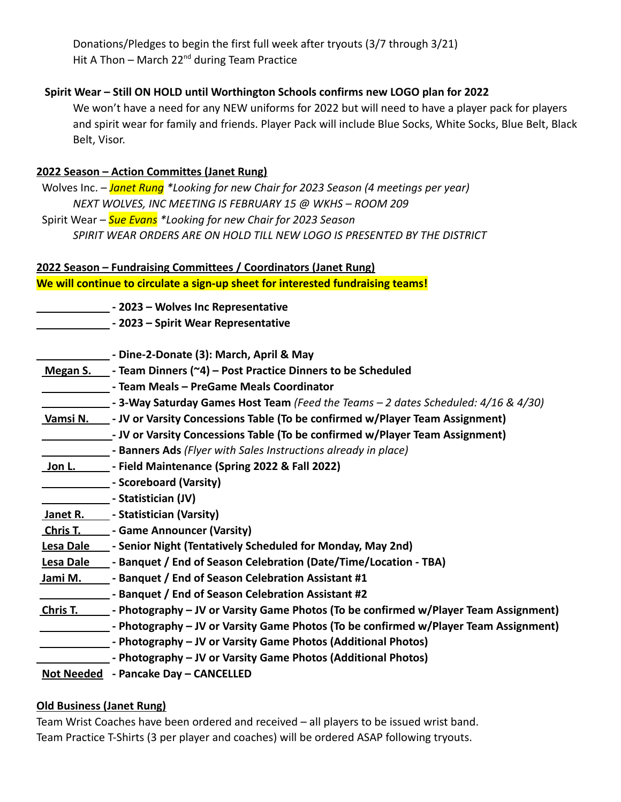Donations/Pledges to begin the first full week after tryouts (3/7 through 3/21) Hit A Thon – March  $22^{nd}$  during Team Practice

#### **Spirit Wear – Still ON HOLD until Worthington Schools confirms new LOGO plan for 2022**

We won't have a need for any NEW uniforms for 2022 but will need to have a player pack for players and spirit wear for family and friends. Player Pack will include Blue Socks, White Socks, Blue Belt, Black Belt, Visor.

#### **2022 Season – Action Committes (Janet Rung)**

Wolves Inc. – *Janet Rung \*Looking for new Chair for 2023 Season (4 meetings per year) NEXT WOLVES, INC MEETING IS FEBRUARY 15 @ WKHS – ROOM 209* Spirit Wear – *Sue Evans \*Looking for new Chair for 2023 Season SPIRIT WEAR ORDERS ARE ON HOLD TILL NEW LOGO IS PRESENTED BY THE DISTRICT*

#### **2022 Season – Fundraising Committees / Coordinators (Janet Rung) We will continue to circulate a sign-up sheet for interested fundraising teams!**

**- 2023 – Wolves Inc Representative**

**- 2023 – Spirit Wear Representative**

|                  | - Dine-2-Donate (3): March, April & May                                                     |
|------------------|---------------------------------------------------------------------------------------------|
| Megan S.         | - Team Dinners (~4) - Post Practice Dinners to be Scheduled                                 |
|                  | - Team Meals - PreGame Meals Coordinator                                                    |
|                  | - 3-Way Saturday Games Host Team (Feed the Teams - 2 dates Scheduled: 4/16 & 4/30)          |
|                  | Vamsi N. _____ - JV or Varsity Concessions Table (To be confirmed w/Player Team Assignment) |
|                  | - JV or Varsity Concessions Table (To be confirmed w/Player Team Assignment)                |
|                  | - Banners Ads (Flyer with Sales Instructions already in place)                              |
| <u>_Jon L. _</u> | Solid Maintenance (Spring 2022 & Fall 2022)                                                 |
|                  | - Scoreboard (Varsity)                                                                      |
|                  | - Statistician (JV)                                                                         |
|                  | Janet R. _____ - Statistician (Varsity)                                                     |
|                  | <b>Chris T. Came Announcer (Varsity)</b>                                                    |
|                  | Lesa Dale _____ - Senior Night (Tentatively Scheduled for Monday, May 2nd)                  |
| Lesa Dale        | - Banquet / End of Season Celebration (Date/Time/Location - TBA)                            |
| Jami M.          | - Banquet / End of Season Celebration Assistant #1                                          |
|                  | - Banquet / End of Season Celebration Assistant #2                                          |
| Chris T.         | - Photography – JV or Varsity Game Photos (To be confirmed w/Player Team Assignment)        |
|                  | - Photography – JV or Varsity Game Photos (To be confirmed w/Player Team Assignment)        |
|                  | - Photography – JV or Varsity Game Photos (Additional Photos)                               |
|                  | - Photography – JV or Varsity Game Photos (Additional Photos)                               |
|                  | Not Needed - Pancake Day - CANCELLED                                                        |

#### **Old Business (Janet Rung)**

Team Wrist Coaches have been ordered and received – all players to be issued wrist band. Team Practice T-Shirts (3 per player and coaches) will be ordered ASAP following tryouts.